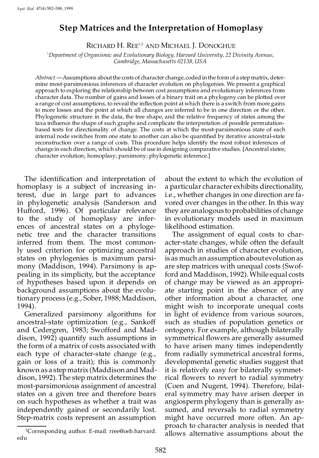# **Step Matrices and the Interpretation of Homoplasy**

RICHARD H. REE<sup>1,2</sup> AND MICHAEL J. DONOGHUE

<sup>1</sup>*Department of Organismic and Evolutionary Biology, Harvard University, 22 Divinity Avenue, Cambridge, Massachusetts 02138, USA*

Abstract.—Assumptions about the costs of character change, coded in the form of a step matrix, determine most-parsimonious inferences of character evolution on phylogenies. We present a graphical approach to exploring the relationship between cost assumptions and evolutionary inferences from character data. The number of gains and losses of a binary trait on a phylogeny can be plotted over a range of cost assumptions, to reveal the inflection point at which there is a switch from more gains to more losses and the point at which all changes are inferred to be in one direction or the other. Phylogenetic structure in the data, the tree shape, and the relative frequency of states among the taxa influence the shape of such graphs and complicate the interpretation of possible permutationbased tests for directionality of change. The costs at which the most-parsimonious state of each internal node switches from one state to another can also be quantified by iterative ancestral-state reconstruction over a range of costs. This procedure helps identify the most robust inferences of change in each direction, which should be of use in designing comparative studies. [Ancestral states; character evolution; homoplasy; parsimony; phylogenetic inference.]

The identification and interpretation of homoplasy is a subject of increasing interest, due in large part to advances in phylogenetic analysis (Sanderson and Hufford, 1996). Of particular relevance to the study of homoplasy are inferences of ancestral states on a phylogenetic tree and the character transitions inferred from them. The most commonly used criterion for optimizing ancestral states on phylogenies is maximum parsimony (Maddison, 1994). Parsimony is appealing in its simplicity, but the acceptance of hypotheses based upon it depends on background assumptions about the evolutionary process (e.g., Sober, 1988; Maddison, 1994).

Generalized parsimony algorithms for ancestral-state optimization (e.g., Sankoff and Cedergren, 1983; Swofford and Maddison, 1992) quantify such assumptions in the form of a matrix of costs associated with each type of character-state change (e.g., gain or loss of a trait); this is commonly known as a stepmatrix (Maddison and Maddison, 1992). The step matrix determines the most-parsimonious assignment of ancestral states on a given tree and therefore bears on such hypotheses as whether a trait was independently gained or secondarily lost. Step-matrix costs represent an assumption about the extent to which the evolution of a particular character exhibits directionality, i.e., whether changes in one direction are favored over changes in the other. In this way they are analogous to probabilities of change in evolutionary models used in maximum likelihood estimation.

The assignment of equal costs to character-state changes, while often the default approach in studies of character evolution, is as much an assumptionabout evolution as are step matrices with unequal costs (Swofford and Maddison, 1992). While equal costs of change may be viewed as an appropriate starting point in the absence of any other information about a character, one might wish to incorporate unequal costs in light of evidence from various sources, such as studies of population genetics or ontogeny. For example, although bilaterally symmetrical flowers are generally assumed to have arisen many times independently from radially symmetrical ancestral forms, developmental genetic studies suggest that it is relatively easy for bilaterally symmetrical flowers to revert to radial symmetry (Coen and Nugent, 1994). Therefore, bilateral symmetry may have arisen deeper in angiosperm phylogeny than is generally assumed, and reversals to radial symmetry might have occurred more often. An approach to character analysis is needed that <sup>2</sup>Corresponding author. E-mail: rree@oeb.harvard. allows alternative assumptions about the

edu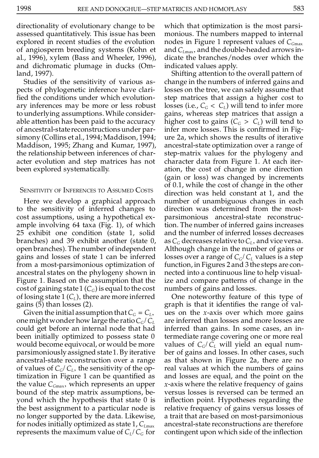directionality of evolutionary change to be assessed quantitatively. This issue has been explored in recent studies of the evolution of angiosperm breeding systems (Kohn et al., 1996), xylem (Bass and Wheeler, 1996), and dichromatic plumage in ducks (Omland, 1997).

Studies of the sensitivity of various aspects of phylogenetic inference have clari fied the conditions under which evolutionary inferences may be more or less robust to underlying assumptions. While considerable attention has been paid to the accuracy of ancestral-statereconstructionsunder parsimony (Collins et al., 1994; Maddison, 1994; Maddison, 1995; Zhang and Kumar, 1997), the relationship between inferences of character evolution and step matrices has not been explored systematically.

## SENSITIVITY OF INFERENCES TO ASSUMED COSTS

Here we develop a graphical approach to the sensitivity of inferred changes to cost assumptions, using a hypothetical example involving 64 taxa (Fig. 1), of which 25 exhibit one condition (state 1, solid branches) and 39 exhibit another (state 0, open branches). The number ofindependent gains and losses of state 1 can be inferred from a most-parsimonious optimization of ancestral states on the phylogeny shown in Figure 1. Based on the assumption that the cost of gaining state 1  $(C_G)$  is equal to the cost of losing state 1 (*CL*), there are more inferred gains (5) than losses (2).

Given the initial assumption that  $C_G = C_L$ , one might wonder how large the ratio  $C_G/C_L$ could get before an internal node that had been initially optimized to possess state 0 would become equivocal, or would be more parsimoniously assigned state1. By iterative ancestral-state reconstruction over a range of values of  $C_G/C_L$ , the sensitivity of the optimization in Figure 1 can be quantified as the value *CG*max, which represents an upper bound of the step matrix assumptions, beyond which the hypothesis that state 0 is the best assignment to a particular node is no longer supported by the data. Likewise, for nodes initially optimized as state 1,  $C_{L_{\text{max}}}$ represents the maximum value of *C<sup>L</sup>* /*C<sup>G</sup>* for

which that optimization is the most parsimonious. The numbers mapped to internal nodes in Figure 1 represent values of *CG*max and *CL*max, and thedouble-headed arrows indicate the branches/nodes over which the indicated values apply.

Shifting attention to the overall pattern of change in the numbers of inferred gains and losses on the tree, we can safely assume that step matrices that assign a higher cost to losses (i.e.,  $C_G < C_L$ ) will tend to infer more gains, whereas step matrices that assign a higher cost to gains  $(C_G > C_L)$  will tend to infer more losses. This is confirmed in Figure 2a, which shows the results of iterative ancestral-state optimization over a range of step-matrix values for the phylogeny and character data from Figure 1. At each iteration, the cost of change in one direction (gain or loss) was changed by increments of 0.1, while the cost of change in the other direction was held constant at 1, and the number of unambiguous changes in each direction was determined from the mostparsimonious ancestral-state reconstruction. The number of inferred gains increases and the number of inferred losses decreases as  $C_G$  decreases relative to  $C_L$ , and vice versa. Although change in the number of gains or losses over a range of  $C_G/C_L$  values is a step function, in Figures 2 and 3 the steps are connected into a continuous line to help visualize and compare patterns of change in the numbers of gains and losses.

One noteworthy feature of this type of graph is that it identifies the range of values on the *x*-axis over which more gains are inferred than losses and more losses are inferred than gains. In some cases, an intermediate range covering one or more real values of  $C_G/C_L$  will yield an equal number of gains and losses. In other cases, such as that shown in Figure 2a, there are no real values at which the numbers of gains and losses are equal, and the point on the *x*-axis where the relative frequency of gains versus losses is reversed can be termed an inflection point. Hypotheses regarding the relative frequency of gains versus losses of a trait that are based on most-parsimonious ancestral-state reconstructions are therefore contingent upon which side of the inflection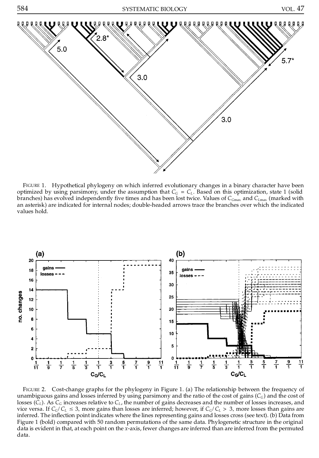

FIGURE 1. Hypothetical phylogeny on which inferred evolutionary changes in a binary character have been optimized by using parsimony, under the assumption that  $C_G = C_L$ . Based on this optimization, state 1 (solid branches) has evolved independently five times and has been lost twice. Values of  $C_{Gmax}$  and  $C_{Lmax}$  (marked with an asterisk) are indicated for internal nodes; double-headed arrows trace the branches over which the indicated values hold.



FIGURE 2. Cost-change graphs for the phylogeny in Figure 1. (a) The relationship between the frequency of unambiguous gains and losses inferred by using parsimony and the ratio of the cost of gains (*CG*) and the cost of losses  $(\tilde{C}_L)$ . As  $\tilde{C}_G$  increases relative to  $C_L$ , the number of gains decreases and the number of losses increases, and vice versa. If  $C_G/C_L \leq 3$ , more gains than losses are inferred; however, if  $C_G/C_L > 3$ , more losses than gains are inferred. The inflection point indicates where the lines representing gains and losses cross (see text). (b) Data from Figure 1 (bold) compared with 50 random permutations of the same data. Phylogenetic structure in the original data is evident in that, at each point on the *x*-axis, fewer changes are inferred than are inferred from the permuted data.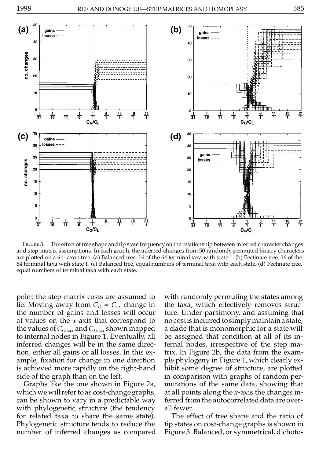



FIGURE 3. The effect of tree shape and tip state frequency on the relationship between inferred character changes and step-matrix assumptions. In each graph, the inferred changes from 50 randomly permuted binary characters are plotted on a 64-taxon tree. (a) Balanced tree, 16 of the 64 terminal taxa with state 1. (b) Pectinate tree, 16 of the 64 terminal taxa with state 1. (c) Balanced tree, equal numbers of terminal taxa with each state. (d) Pectinate tree, equal numbers of terminal taxa with each state.

point the step-matrix costs are assumed to lie. Moving away from  $C_G = C_L$ , change in th the number of gains and losses will occur at values on the *x*-axis that correspond to the values of *CG*max and *CL*max shown mapped to internal nodes in Figure 1. Eventually, all inferred changes will be in the same direction, either all gains or all losses. In this example, fixation for change in one direction is achieved more rapidly on the right-hand side of the graph than on the left.

Graphs like the one shown in Figure 2a, which we will refer to as cost-change graphs, can be shown to vary in a predictable way with phylogenetic structure (the tendency for related taxa to share the same state). Phylogenetic structure tends to reduce the number of inferred changes as compared with randomly permuting the states among the taxa, which effectively removes structure. Under parsimony, and assuming that no costis incurred tosimply maintaina state, a clade that is monomorphic for a state will be assigned that condition at all of its internal nodes, irrespective of the step matrix. In Figure 2b, the data from the example phylogeny in Figure 1, which clearly exhibit some degree of structure, are plotted in comparison with graphs of random permutations of the same data, showing that at all points along the *x*-axis the changes inferred from the autocorrelated data are overall fewer.

The effect of tree shape and the ratio of tip states on cost-change graphs is shown in Figure 3. Balanced, or symmetrical, dichoto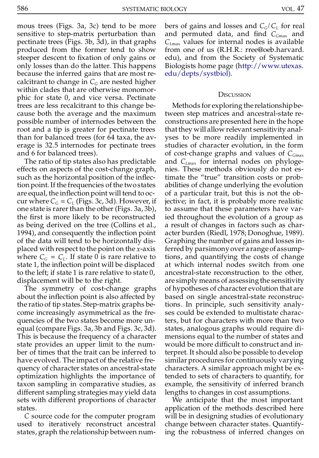mous trees (Figs. 3a, 3c) tend to be more sensitive to step-matrix perturbation than pectinate trees (Figs. 3b, 3d), in that graphs produced from the former tend to show steeper descent to fixation of only gains or only losses than do the latter. This happens because the inferred gains that are most recalcitrant to change in  $C_G$  are nested higher within clades that are otherwise monomorphic for state 0, and vice versa. Pectinate trees are less recalcitrant to this change because both the average and the maximum possible number of internodes between the root and a tip is greater for pectinate trees than for balanced trees (for 64 taxa, the average is 32.5 internodes for pectinate trees and 6 for balanced trees).

The ratio of tip states also has predictable effects on aspects of the cost-change graph, such as the horizontal position of the inflection point.If the frequencies of the twostates are equal, the inflection point will tend to occur where  $C_G = C_L$  (Figs. 3c, 3d). However, if one state is rarer than the other (Figs.  $3a$ ,  $3b$ ), the first is more likely to be reconstructed as being derived on the tree (Collins et al., 1994), and consequently the inflection point of the data will tend to be horizontally displaced with respect to the point on the *x*-axis where  $C_G = C_L$ . If state 0 is rare relative to timestate 1, the inflection point will be displaced to the left; if state 1 is rare relative to state 0, displacement will be to the right.

The symmetry of cost-change graphs about the inflection point is also affected by the ratio of tip states. Step-matrix graphs become increasingly asymmetrical as the frequencies of the two states become more unequal (compare Figs. 3a, 3b and Figs. 3c, 3d). This is because the frequency of a character state provides an upper limit to the number of times that the trait can be inferred to have evolved. The impact of the relative frequency of character states on ancestral-state optimization highlights the importance of taxon sampling in comparative studies, as different sampling strategies may yield data sets with different proportions of character states.

*C* source code for the computer program used to iteratively reconstruct ancestral states, graph the relationship between numbers of gains and losses and *CG*/*C<sup>L</sup>* for real and permuted data, and find C<sub>*Gmax*</sub> and *CL*max values for internal nodes is available from one of us (R.H.R.: rree@oeb.harvard. edu), and from the Society of Systematic Biologists home page ([http://www.utexas.](http://www.utexas.edu/depts/systbiol) [edu/depts/systbiol](http://www.utexas.edu/depts/systbiol)).

### **DISCUSSION**

Methods for exploring the relationshipbetween step matrices and ancestral-state reconstructions are presented here in the hope that they will allow relevant sensitivity analyses to be more readily implemented in studies of character evolution, in the form of cost-change graphs and values of *CG*max and *CL*max for internal nodes on phylogenies. These methods obviously do not estimate the "true" transition costs or probabilities of change underlying the evolution of a particular trait, but this is not the objective; in fact, it is probably more realistic to assume that these parameters have varied throughout the evolution of a group as a result of changes in factors such as character burden (Riedl, 1978; Donoghue, 1989). Graphing the number of gains and losses inferred by parsimonyover a rangeof assumptions, and quantifying the costs of change at which internal nodes switch from one ancestral-state reconstruction to the other, are simply means of assessing the sensitivity of hypotheses of character evolution that are based on single ancestral-state reconstructions. In principle, such sensitivity analyses could be extended to multistate characters, but for characters with more than two states, analogous graphs would require dimensions equal to the number of states and would be more difficult to construct and interpret. It should also be possible to develop similar procedures for continuously varying characters. A similar approach might be extended to sets of characters to quantify, for example, the sensitivity of inferred branch lengths to changes in cost assumptions.

We anticipate that the most important application of the methods described here will be in designing studies of evolutionary change between character states. Quantifying the robustness of inferred changes on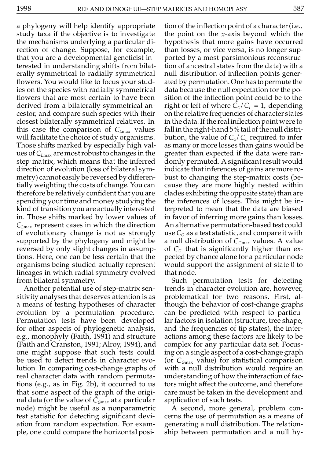a phylogeny will help identify appropriate study taxa if the objective is to investigate the mechanisms underlying a particular direction of change. Suppose, for example, that you are a developmental geneticist interested in understanding shifts from bilaterally symmetrical to radially symmetrical flowers. You would like to focus your studies on the species with radially symmetrical flowers that are most certain to have been derived from a bilaterally symmetrical ancestor, and compare such species with their closest bilaterally symmetrical relatives. In this case the comparison of *CL*max values will facilitate the choice of study organisms. Those shifts marked by especially high values of  $C_{Lmax}$  are most robust to changes in the step matrix, which means that the inferred direction of evolution (loss of bilateral symmetry) cannot easily be reversed by differentially weighting the costs of change. You can therefore be relatively confident that you are spending your time and money studying the kind of transition you are actually interested in. Those shifts marked by lower values of *CL*max represent cases in which the direction of evolutionary change is not as strongly supported by the phylogeny and might be reversed by only slight changes in assumptions. Here, one can be less certain that the organisms being studied actually represent lineages in which radial symmetry evolved from bilateral symmetry.

Another potential use of step-matrix sensitivity analyses that deserves attention is as a means of testing hypotheses of character evolution by a permutation procedure. Permutation tests have been developed for other aspects of phylogenetic analysis, e.g., monophyly (Faith, 1991) and structure (Faith and Cranston, 1991; Alroy, 1994), and one might suppose that such tests could be used to detect trends in character evolution. In comparing cost-change graphs of real character data with random permutations (e.g., as in Fig. 2b), it occurred to us that some aspect of the graph of the original data (or the value of  $C_{Gmax}$  at a particular node) might be useful as a nonparametric test statistic for detecting signicant deviation from random expectation. For example, one could compare the horizontal position of the inflection point of a character (i.e., the point on the *x*-axis beyond which the hypothesis that more gains have occurred than losses, or vice versa, is no longer supported by a most-parsimonious reconstruction of ancestral states from the data) with a null distribution of inflection points generated by permutation.Onehas topermute the data because the null expectation for the position of the inflection point could be to the right or left of where  $C_G/C_L = 1$ , depending on the relative frequencies of character states in the data. If the real inflection point were to fall in the right-hand 5% tailof the null distribution, the value of  $C_G/C_L$  required to infer as many or more losses than gains would be greater than expected if the data were randomly permuted. A significant result would indicate that inferences of gains are more robust to changing the step-matrix costs (because they are more highly nested within clades exhibiting the opposite state) than are the inferences of losses. This might be interpreted to mean that the data are biased in favor of inferring more gains than losses. An alternativepermutation-based test could use  $C_G$  as a test statistic, and compare it with a null distribution of *CG*max values. A value of  $C_G$  that is significantly higher than expected by chance alone for a particular node would support the assignment of state 0 to that node.

Such permutation tests for detecting trends in character evolution are, however, problematical for two reasons. First, although the behavior of cost-change graphs can be predicted with respect to particular factors in isolation (structure, tree shape, and the frequencies of tip states), the interactions among these factors are likely to be complex for any particular data set. Focusing on a single aspect of a cost-change graph (or *CG*max value) for statistical comparison with a null distribution would require an understanding of how the interaction of factors might affect the outcome, and therefore care must be taken in the development and application of such tests.

A second, more general, problem concerns the use of permutation as a means of generating a null distribution. The relationship between permutation and a null hy